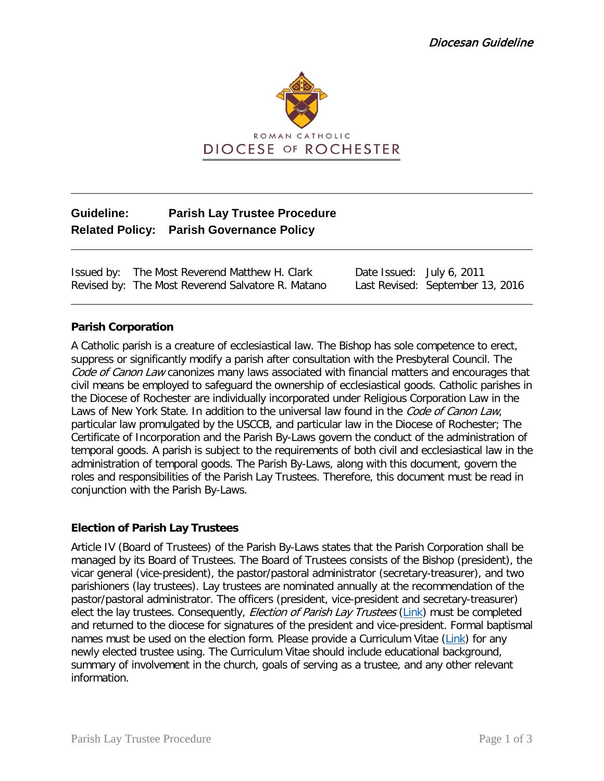

# **Guideline: Parish Lay Trustee Procedure Related Policy: Parish Governance Policy**

Issued by: The Most Reverend Matthew H. Clark Date Issued: July 6, 2011 Revised by: The Most Reverend Salvatore R. Matano Last Revised: September 13, 2016

## **Parish Corporation**

A Catholic parish is a creature of ecclesiastical law. The Bishop has sole competence to erect, suppress or significantly modify a parish after consultation with the Presbyteral Council. The Code of Canon Law canonizes many laws associated with financial matters and encourages that civil means be employed to safeguard the ownership of ecclesiastical goods. Catholic parishes in the Diocese of Rochester are individually incorporated under Religious Corporation Law in the Laws of New York State. In addition to the universal law found in the Code of Canon Law, particular law promulgated by the USCCB, and particular law in the Diocese of Rochester; The Certificate of Incorporation and the Parish By-Laws govern the conduct of the administration of temporal goods. A parish is subject to the requirements of both civil and ecclesiastical law in the administration of temporal goods. The Parish By-Laws, along with this document, govern the roles and responsibilities of the Parish Lay Trustees. Therefore, this document must be read in conjunction with the Parish By-Laws.

## **Election of Parish Lay Trustees**

Article IV (Board of Trustees) of the Parish By-Laws states that the Parish Corporation shall be managed by its Board of Trustees. The Board of Trustees consists of the Bishop (president), the vicar general (vice-president), the pastor/pastoral administrator (secretary-treasurer), and two parishioners (lay trustees). Lay trustees are nominated annually at the recommendation of the pastor/pastoral administrator. The officers (president, vice-president and secretary-treasurer) elect the lay trustees. Consequently, *Election of Parish Lay Trustees* [\(Link\)](https://dioceseofrochester.sharepoint.com/:w:/r/Policies/Policies/Annual%20Reports%20to%20the%20Diocese/Lay%20Trustee%20Election%20Template.docx?d=wc1605ef663f04c19abd7cfb605be198c&csf=1&e=KxbBXe) must be completed and returned to the diocese for signatures of the president and vice-president. Formal baptismal names must be used on the election form. Please provide a Curriculum Vitae [\(Link\)](https://dioceseofrochester.sharepoint.com/:w:/r/Policies/Policies/Annual%20Reports%20to%20the%20Diocese/Curriculum%20Vitae.docx?d=waefd7d3f4e654ff6a0f8fd7744c25283&csf=1&e=pgZQvI) for any newly elected trustee using. The Curriculum Vitae should include educational background, summary of involvement in the church, goals of serving as a trustee, and any other relevant information.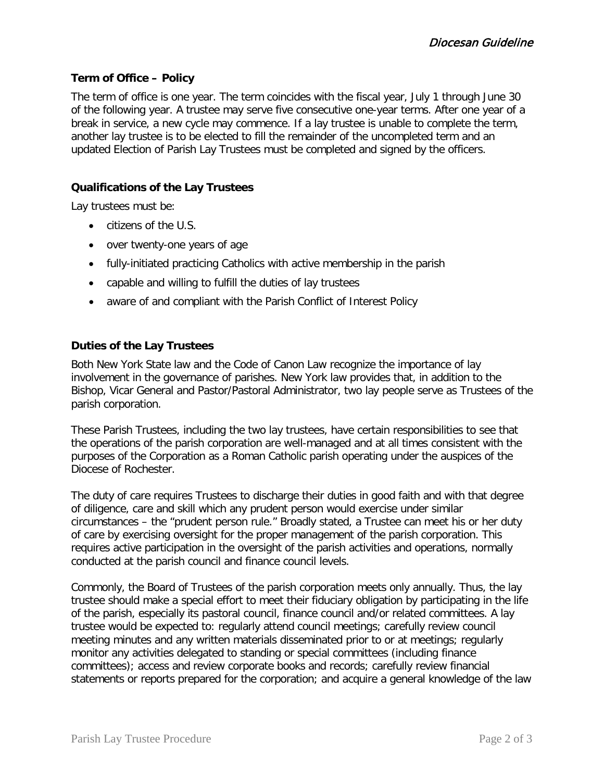## **Term of Office – Policy**

The term of office is one year. The term coincides with the fiscal year, July 1 through June 30 of the following year. A trustee may serve five consecutive one-year terms. After one year of a break in service, a new cycle may commence. If a lay trustee is unable to complete the term, another lay trustee is to be elected to fill the remainder of the uncompleted term and an updated Election of Parish Lay Trustees must be completed and signed by the officers.

## **Qualifications of the Lay Trustees**

Lay trustees must be:

- citizens of the U.S.
- over twenty-one years of age
- fully-initiated practicing Catholics with active membership in the parish
- capable and willing to fulfill the duties of lay trustees
- aware of and compliant with the Parish Conflict of Interest Policy

## **Duties of the Lay Trustees**

Both New York State law and the Code of Canon Law recognize the importance of lay involvement in the governance of parishes. New York law provides that, in addition to the Bishop, Vicar General and Pastor/Pastoral Administrator, two lay people serve as Trustees of the parish corporation.

These Parish Trustees, including the two lay trustees, have certain responsibilities to see that the operations of the parish corporation are well-managed and at all times consistent with the purposes of the Corporation as a Roman Catholic parish operating under the auspices of the Diocese of Rochester.

The duty of care requires Trustees to discharge their duties in good faith and with that degree of diligence, care and skill which any prudent person would exercise under similar circumstances – the "prudent person rule." Broadly stated, a Trustee can meet his or her duty of care by exercising oversight for the proper management of the parish corporation. This requires active participation in the oversight of the parish activities and operations, normally conducted at the parish council and finance council levels.

Commonly, the Board of Trustees of the parish corporation meets only annually. Thus, the lay trustee should make a special effort to meet their fiduciary obligation by participating in the life of the parish, especially its pastoral council, finance council and/or related committees. A lay trustee would be expected to: regularly attend council meetings; carefully review council meeting minutes and any written materials disseminated prior to or at meetings; regularly monitor any activities delegated to standing or special committees (including finance committees); access and review corporate books and records; carefully review financial statements or reports prepared for the corporation; and acquire a general knowledge of the law